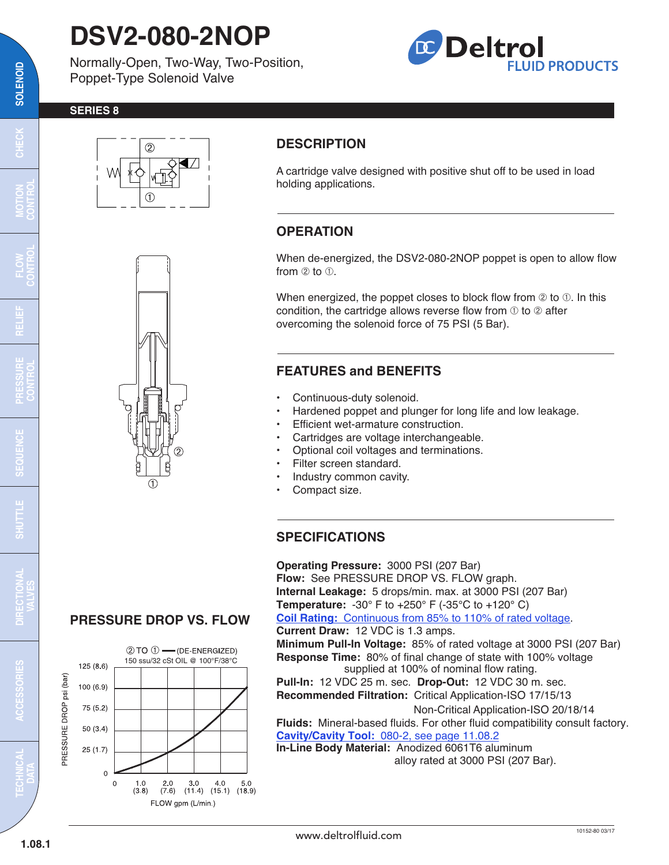# **DSV2-080-2NOP**

Normally-Open, Two-Way, Two-Position, Poppet-Type Solenoid Valve

### **Deltrol LUID PRODUCTS**

#### **SERIES 8**



**SOLENOID**

SOLENOID

œ





#### **DESCRIPTION**

A cartridge valve designed with positive shut off to be used in load holding applications.

#### **OPERATION**

When de-energized, the DSV2-080-2NOP poppet is open to allow flow from  $\circledcirc$  to  $\circledcirc$ .

When energized, the poppet closes to block flow from  $@$  to  $@$ . In this condition, the cartridge allows reverse flow from  $\odot$  to  $\oslash$  after overcoming the solenoid force of 75 PSI (5 Bar).

#### **FEATURES and BENEFITS**

- Continuous-duty solenoid.
- Hardened poppet and plunger for long life and low leakage.
- Efficient wet-armature construction.
- Cartridges are voltage interchangeable.
- Optional coil voltages and terminations.
- Filter screen standard.
- Industry common cavity.
- Compact size.

#### **SPECIFICATIONS**

**Operating Pressure:** 3000 PSI (207 Bar) **Flow:** See PRESSURE DROP VS. FLOW graph. **Internal Leakage:** 5 drops/min. max. at 3000 PSI (207 Bar) **Temperature:** -30° F to +250° F (-35°C to +120° C) **Coil Rating:** [Continuous from 85% to 110% of rated voltage.](http://www.deltrolfluid.com/sites/default/files/cartridge/Series-8%20Coils_Complete.pdf) **Current Draw:** 12 VDC is 1.3 amps. **Minimum Pull-In Voltage:** 85% of rated voltage at 3000 PSI (207 Bar) **Response Time:** 80% of final change of state with 100% voltage

supplied at 100% of nominal flow rating. **Pull-In:** 12 VDC 25 m. sec. **Drop-Out:** 12 VDC 30 m. sec. **Recommended Filtration:** Critical Application-ISO 17/15/13

Non-Critical Application-ISO 20/18/14

**Fluids:** Mineral-based fluids. For other fluid compatibility consult factory. **Cavity/Cavity Tool:** [080-2, see page 11.08.2](http://www.deltrolfluid.com/sites/default/files/cartridge/080-2_Cavity.pdf)

**In-Line Body Material:** Anodized 6061T6 aluminum alloy rated at 3000 PSI (207 Bar).

### **PRESSURE DROP VS. FLOW**